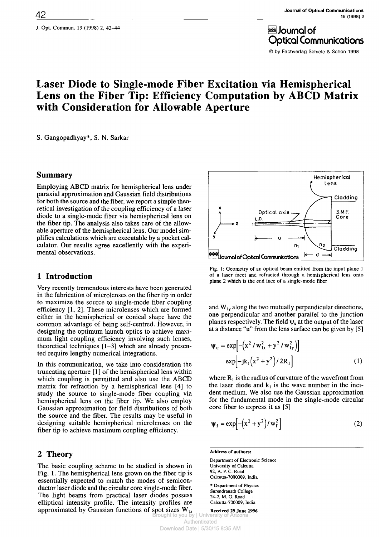θ Journal of Optical Communications © by Fachverlag Schiele & Schon 1998

# **Laser Diode to Single-mode Fiber Excitation via Hemispherical Lens on the Fiber Tip: Efficiency Computation by ABCD Matrix with Consideration for Allowable Aperture**

S. Gangopadhyay\*, S. N. Sarkar

### **Summary**

Employing ABCD matrix for hemispherical lens under paraxial approximation and Gaussian field distributions for both the source and the fiber, we report a simple theoretical investigation of the coupling efficiency of a laser diode to a single-mode fiber via hemispherical lens on the fiber tip. The analysis also takes care of the allowable aperture of the hemispherical lens. Our model simplifies calculations which are executable by a pocket calculator. Our results agree excellently with the experimental observations.

## **1 Introduction**

Very recently tremendous interests have been generated in the fabrication of microlenses on the fiber tip in order to maximize the source to singlemode fiber coupling efficiency [1, 2]. These microlenses which are formed either in the hemispherical or conical shape have the common advantage of being self-centred. However, in designing the optimum launch optics to achieve maximum light coupling efficiency involving such lenses, theoretical techniques  $[1-3]$  which are already presented require lengthy numerical integrations.

In this communication, we take into consideration the truncating aperture [1] of the hemispherical lens within which coupling is permitted and also use the ABCD matrix for refraction by a hemispherical lens [4] to study the source to singlemode fiber coupling via hemispherical lens on the fiber tip. We also employ Gaussian approximation for field distributions of both the source and the fiber. The results may be useful in designing suitable hemispherical microlenses on the fiber tip to achieve maximum coupling efficiency.

## **2 Theory**

The basic coupling scheme to be studied is shown in Fig. 1. The hemispherical lens grown on the fiber tip is essentially expected to match the modes of semiconductor laser diode and the circular core single-mode fiber. The light beams from practical laser diodes possess elliptical intensity profile. The intensity profiles are approximated by Gaussian functions of spot sizes  $W_{1x}$ 



Fig. 1: Geometry of an optical beam emitted from the input plane 1 of a laser facet and refracted through a hemispherical lens onto plane 2 which is the end face of a single-mode fiber

and  $W_{1y}$  along the two mutually perpendicular directions, one perpendicular and another parallel to the junction planes respectively. The field  $\psi_u$  at the output of the laser at a distance "u" from the lens surface can be given by [5]

$$
\Psi_{u} = \exp[-(x^{2} / w_{1x}^{2} + y^{2} / w_{1y}^{2})]
$$
  
\n
$$
\exp[-jk_{1}(x^{2} + y^{2}) / 2R_{1}]
$$
 (1)

where  $R_1$  is the radius of curvature of the wavefront from the laser diode and  $k_1$  is the wave number in the incident medium. We also use the Gaussian approximation for the fundamental mode in the single-mode circular core fiber to express it as [5]

$$
\Psi_{\mathbf{f}} = \exp\left[-\left(x^2 + y^2\right)/w_{\mathbf{f}}^2\right] \tag{2}
$$

**Address of authors:**

Department of Electronic Science University of Calcutta 92, A. P. C. Road Calcutta-7000009, India

\* Department of Physics Surendranath College 24-2, M. G. Road Calcutta-700009. India

**Received 29 June 1996** to you by | University Authenticated Download Date | 5/30/15 8:35 AM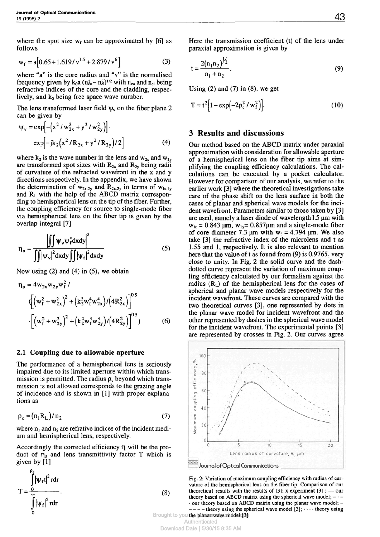where the spot size  $w_f$  can be approximated by [6] as follows

$$
w_f = a[0.65 + 1.619/v^{1.5} + 2.879/v^6]
$$
 (3)

where "a" is the core radius and "v" is the normalised frequency given by  $k_0 a (n_{co}^2 - n_{c}^2)^{1/2}$  with  $n_{co}$  and  $n_{cl}$  being refractive indices of the core and the cladding, respeclively, and  $k_0$  being free space wave number.

The lens transformed laser field  $\psi$ , on the fiber plane 2 can be given by

$$
\Psi_{\mathbf{v}} = \exp\left[-\left(x^2 / w_{2x}^2 + y^2 / w_{2y}^2\right)\right].
$$
  
\n
$$
\exp\left[-j k_2 \left(x^2 / R_{2x} + y^2 / R_{2y}\right)/2\right]
$$
 (4)

where  $k_2$  is the wave number in the lens and  $w_{2x}$  and  $w_{2y}$ are transformed spot sizes with  $R_{2x}$  and  $R_{2y}$  being radii of curvature of the refracted wavefront in the χ and y directions respectively. In the appendix, we have shown the determination of  $w_{2x,2y}$  and  $R_{2x,2y}$  in terms of  $w_{1x,1y}$ and  $R_1$  with the help of the ABCD matrix corresponding to hemispherical lens on the tip of the fiber. Further, the coupling efficiency for source to single-mode fiber via hemispherical lens on the fiber tip is given by the overlap integral [7]

$$
\eta_{o} = \frac{\left| \iint \psi_{v} \psi_{f}^{*} dxdy \right|^{2}}{\iint |\psi_{v}|^{2} dxdy \iint |\psi_{f}|^{2} dxdy}
$$
(5)

Now using (2) and (4) in (5), we obtain

$$
\eta_{o} = 4w_{2x}w_{2y}w_{f}^{2}/
$$
  
\n
$$
\left(\left(w_{f}^{2} + w_{2x}^{2}\right)^{2} + \left(k_{2}^{2}w_{f}^{4}w_{2x}^{4}\right)/\left(4R_{2x}^{2}\right)\right]^{0.5}
$$
  
\n
$$
\cdot \left[\left(w_{f}^{2} + w_{2y}^{2}\right)^{2} + \left(k_{2}^{2}w_{f}^{4}w_{2y}^{4}\right)/\left(4R_{2y}^{2}\right)\right]^{0.5}\right]
$$
(6)

#### **2.1 Coupling due to allowable aperture**

The performance of a hemispherical lens is seriously impaired due to its limited aperture within which transmission is permitted. The radius  $\rho_c$  beyond which transmission is not allowed corresponds to the grazing angle of incidence and is shown in [1] with proper explanations as

$$
\rho_c = (n_1 R_L) / n_2 \tag{7}
$$

where  $n_1$  and  $n_2$  are refrative indices of the incident medium and hemispherical lens, respectively.

Accordingly the corrected efficiency η will be the product of  $η_0$  and lens transmittivity factor T which is given by [1]

$$
T = \frac{\int_{0}^{\rho_{\epsilon}} |\psi_{f}t|^{2} r dr}{\int_{0}^{\infty} |\psi_{f}|^{2} r dr}.
$$
 (8)

Here the transmission coefficient (t) of the lens under paraxial approximation is given by

$$
t = \frac{2(n_1 n_2)^{\frac{1}{2}}}{n_1 + n_2}.
$$
 (9)

Using  $(2)$  and  $(7)$  in  $(8)$ , we get

$$
T = t^{2} \Big[ 1 - \exp\Bigl(-2\rho_{c}^{2} / w_{f}^{2}\Bigr) \Big].
$$
 (10)

## **3 Results and discussions**

Our method based on the ABCD matrix under paraxial approximation with consideration for allowable aperture of a hemispherical lens on the fiber tip aims at simplifying the coupling efficiency calculations. The calculations can be executed by a pocket calculator. However for comparison of our analysis, we refer to the earlier work [3] where the theoretical investigations take care of the phase shift on the lens surface in both the cases of planar and spherical wave models for the incident wavefront. Parameters similar to those taken by [3] are used, namely a laser diode of wavelength 1.5  $\mu$ m with  $w_{1x} = 0.843$  μm,  $w_{1y} = 0.857$ μm and a single-mode fiber of core diameter 7.3  $\mu$ m with w<sub>f</sub> = 4.794  $\mu$ m. We also take [3] the refractive index of the microlens and t as 1.55 and 1, respectively. It is also relevant to mention here that the value of t as found from (9) is 0.9765, very close to unity. In Fig. 2 the solid curve and the dashdotted curve represent the variation of maximum coupling efficiency calculated by our formalism against the radius  $(R_L)$  of the hemispherical lens for the cases of spherical and planar wave models respectively for the incident wavefront. These curves are compared with the two theoretical curves [3], one represented by dots in the planar wave model for incident wavefront and the other represented by dashes in the spherical wave model for the incident wavefront. The experimental points [3] are represented by crosses in Fig. 2. Our curves agree



Fig. 2: Variation of maximum coupling efficiency with radius of carvature of the hemispherical lens on the fiber tip: Comparison of our theoretical results with the results of [3];  $x$  experiment [3]; — our theory based on ABCD matrix using the spherical wave model;  $-\cdot$  -• our theory based on ABCD matrix using the planar wave model; —

 $---$  theory using the spherical wave model [3];  $...$  theory using Brought to you the planar wave model [3]

**Authenticated** 

Download Date | 5/30/15 8:35 AM